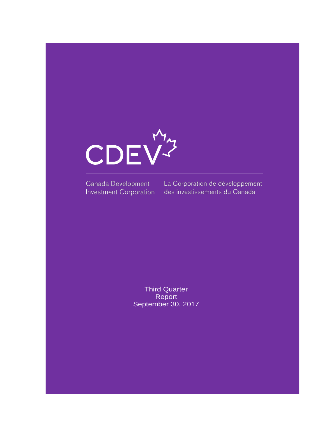

Canada Development Investment Corporation

La Corporation de développement des investissements du Canada

Third Quarter **Report** September 30, 2017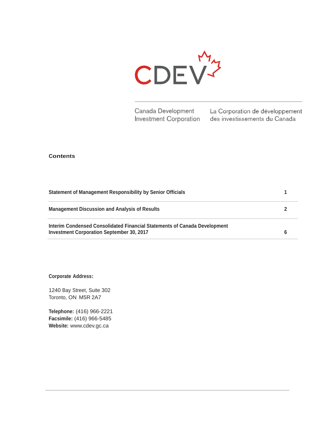

Canada Development La Corporation de développement Investment Corporation des investissements du Canada

#### **Contents**

| <b>Statement of Management Responsibility by Senior Officials</b>                                                             |  |
|-------------------------------------------------------------------------------------------------------------------------------|--|
| <b>Management Discussion and Analysis of Results</b>                                                                          |  |
| Interim Condensed Consolidated Financial Statements of Canada Development<br><b>Investment Corporation September 30, 2017</b> |  |

**Corporate Address:**

1240 Bay Street, Suite 302 Toronto, ON M5R 2A7

**Telephone:** (416) 966-2221 **Facsimile:** (416) 966-5485 **Website:** [www.cdev.gc.ca](http://www.cdev.gc.ca/)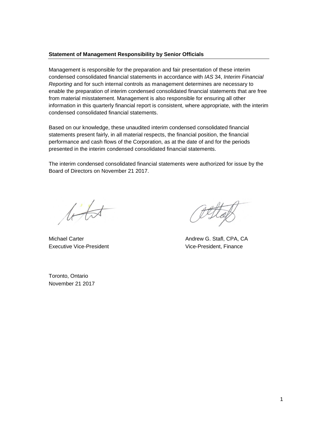#### **Statement of Management Responsibility by Senior Officials**

Management is responsible for the preparation and fair presentation of these interim condensed consolidated financial statements in accordance with *IAS* 34, *Interim Financial Reporting* and for such internal controls as management determines are necessary to enable the preparation of interim condensed consolidated financial statements that are free from material misstatement. Management is also responsible for ensuring all other information in this quarterly financial report is consistent, where appropriate, with the interim condensed consolidated financial statements.

Based on our knowledge, these unaudited interim condensed consolidated financial statements present fairly, in all material respects, the financial position, the financial performance and cash flows of the Corporation, as at the date of and for the periods presented in the interim condensed consolidated financial statements.

The interim condensed consolidated financial statements were authorized for issue by the Board of Directors on November 21 2017.

 $t\overline{t}$ 

Executive Vice-President **Vice-President** Vice-President, Finance

Michael Carter **Andrew G. Stafl, CPA, CA** 

Toronto, Ontario November 21 2017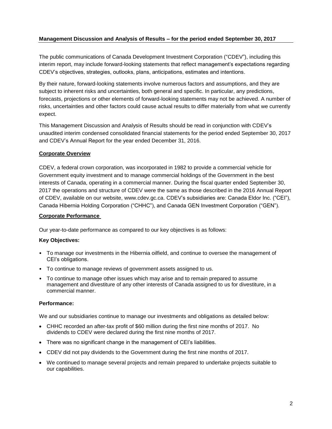## **Management Discussion and Analysis of Results – for the period ended September 30, 2017**

The public communications of Canada Development Investment Corporation ("CDEV"), including this interim report, may include forward-looking statements that reflect management's expectations regarding CDEV's objectives, strategies, outlooks, plans, anticipations, estimates and intentions.

By their nature, forward-looking statements involve numerous factors and assumptions, and they are subject to inherent risks and uncertainties, both general and specific. In particular, any predictions, forecasts, projections or other elements of forward-looking statements may not be achieved. A number of risks, uncertainties and other factors could cause actual results to differ materially from what we currently expect.

This Management Discussion and Analysis of Results should be read in conjunction with CDEV's unaudited interim condensed consolidated financial statements for the period ended September 30, 2017 and CDEV's Annual Report for the year ended December 31, 2016.

## **Corporate Overview**

CDEV, a federal crown corporation, was incorporated in 1982 to provide a commercial vehicle for Government equity investment and to manage commercial holdings of the Government in the best interests of Canada, operating in a commercial manner. During the fiscal quarter ended September 30, 2017 the operations and structure of CDEV were the same as those described in the 2016 Annual Report of CDEV, available on our website, [www.cdev.gc.ca.](http://www.cdev.gc.ca/) CDEV's subsidiaries are: Canada Eldor Inc. ("CEI"), Canada Hibernia Holding Corporation ("CHHC"), and Canada GEN Investment Corporation ("GEN").

## **Corporate Performance**

Our year-to-date performance as compared to our key objectives is as follows:

## **Key Objectives:**

- To manage our investments in the Hibernia oilfield, and continue to oversee the management of CEI's obligations.
- To continue to manage reviews of government assets assigned to us.
- To continue to manage other issues which may arise and to remain prepared to assume management and divestiture of any other interests of Canada assigned to us for divestiture, in a commercial manner.

## **Performance:**

We and our subsidiaries continue to manage our investments and obligations as detailed below:

- CHHC recorded an after-tax profit of \$60 million during the first nine months of 2017. No dividends to CDEV were declared during the first nine months of 2017.
- There was no significant change in the management of CEI's liabilities.
- CDEV did not pay dividends to the Government during the first nine months of 2017.
- We continued to manage several projects and remain prepared to undertake projects suitable to our capabilities.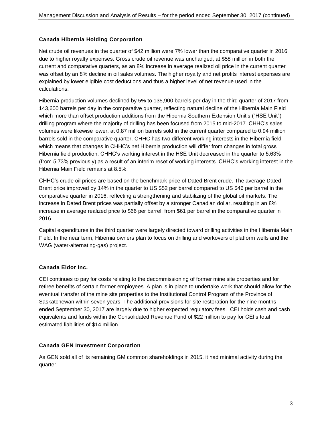## **Canada Hibernia Holding Corporation**

Net crude oil revenues in the quarter of \$42 million were 7% lower than the comparative quarter in 2016 due to higher royalty expenses. Gross crude oil revenue was unchanged, at \$58 million in both the current and comparative quarters, as an 8% increase in average realized oil price in the current quarter was offset by an 8% decline in oil sales volumes. The higher royalty and net profits interest expenses are explained by lower eligible cost deductions and thus a higher level of net revenue used in the calculations.

Hibernia production volumes declined by 5% to 135,900 barrels per day in the third quarter of 2017 from 143,600 barrels per day in the comparative quarter, reflecting natural decline of the Hibernia Main Field which more than offset production additions from the Hibernia Southern Extension Unit's ("HSE Unit") drilling program where the majority of drilling has been focused from 2015 to mid-2017. CHHC's sales volumes were likewise lower, at 0.87 million barrels sold in the current quarter compared to 0.94 million barrels sold in the comparative quarter. CHHC has two different working interests in the Hibernia field which means that changes in CHHC's net Hibernia production will differ from changes in total gross Hibernia field production. CHHC's working interest in the HSE Unit decreased in the quarter to 5.63% (from 5.73% previously) as a result of an interim reset of working interests. CHHC's working interest in the Hibernia Main Field remains at 8.5%.

CHHC's crude oil prices are based on the benchmark price of Dated Brent crude. The average Dated Brent price improved by 14% in the quarter to US \$52 per barrel compared to US \$46 per barrel in the comparative quarter in 2016, reflecting a strengthening and stabilizing of the global oil markets. The increase in Dated Brent prices was partially offset by a stronger Canadian dollar, resulting in an 8% increase in average realized price to \$66 per barrel, from \$61 per barrel in the comparative quarter in 2016.

Capital expenditures in the third quarter were largely directed toward drilling activities in the Hibernia Main Field. In the near term, Hibernia owners plan to focus on drilling and workovers of platform wells and the WAG (water-alternating-gas) project.

## **Canada Eldor Inc.**

CEI continues to pay for costs relating to the decommissioning of former mine site properties and for retiree benefits of certain former employees. A plan is in place to undertake work that should allow for the eventual transfer of the mine site properties to the Institutional Control Program of the Province of Saskatchewan within seven years. The additional provisions for site restoration for the nine months ended September 30, 2017 are largely due to higher expected regulatory fees. CEI holds cash and cash equivalents and funds within the Consolidated Revenue Fund of \$22 million to pay for CEI's total estimated liabilities of \$14 million.

## **Canada GEN Investment Corporation**

As GEN sold all of its remaining GM common shareholdings in 2015, it had minimal activity during the quarter.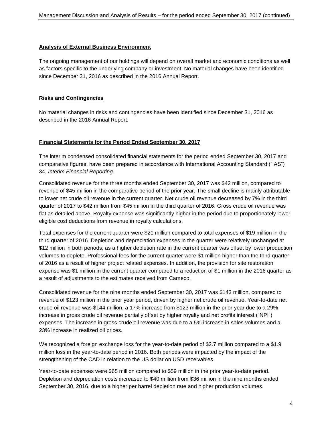## **Analysis of External Business Environment**

The ongoing management of our holdings will depend on overall market and economic conditions as well as factors specific to the underlying company or investment. No material changes have been identified since December 31, 2016 as described in the 2016 Annual Report.

## **Risks and Contingencies**

No material changes in risks and contingencies have been identified since December 31, 2016 as described in the 2016 Annual Report.

## **Financial Statements for the Period Ended September 30, 2017**

The interim condensed consolidated financial statements for the period ended September 30, 2017 and comparative figures, have been prepared in accordance with International Accounting Standard ("IAS") 34, *Interim Financial Reporting*.

Consolidated revenue for the three months ended September 30, 2017 was \$42 million, compared to revenue of \$45 million in the comparative period of the prior year. The small decline is mainly attributable to lower net crude oil revenue in the current quarter. Net crude oil revenue decreased by 7% in the third quarter of 2017 to \$42 million from \$45 million in the third quarter of 2016. Gross crude oil revenue was flat as detailed above. Royalty expense was significantly higher in the period due to proportionately lower eligible cost deductions from revenue in royalty calculations.

Total expenses for the current quarter were \$21 million compared to total expenses of \$19 million in the third quarter of 2016. Depletion and depreciation expenses in the quarter were relatively unchanged at \$12 million in both periods, as a higher depletion rate in the current quarter was offset by lower production volumes to deplete. Professional fees for the current quarter were \$1 million higher than the third quarter of 2016 as a result of higher project related expenses. In addition, the provision for site restoration expense was \$1 million in the current quarter compared to a reduction of \$1 million in the 2016 quarter as a result of adjustments to the estimates received from Cameco.

Consolidated revenue for the nine months ended September 30, 2017 was \$143 million, compared to revenue of \$123 million in the prior year period, driven by higher net crude oil revenue. Year-to-date net crude oil revenue was \$144 million, a 17% increase from \$123 million in the prior year due to a 29% increase in gross crude oil revenue partially offset by higher royalty and net profits interest ("NPI") expenses. The increase in gross crude oil revenue was due to a 5% increase in sales volumes and a 23% increase in realized oil prices.

We recognized a foreign exchange loss for the year-to-date period of \$2.7 million compared to a \$1.9 million loss in the year-to-date period in 2016. Both periods were impacted by the impact of the strengthening of the CAD in relation to the US dollar on USD receivables.

Year-to-date expenses were \$65 million compared to \$59 million in the prior year-to-date period. Depletion and depreciation costs increased to \$40 million from \$36 million in the nine months ended September 30, 2016, due to a higher per barrel depletion rate and higher production volumes.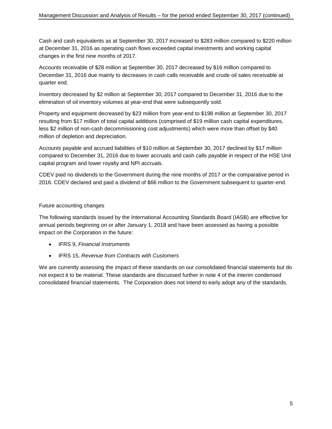Cash and cash equivalents as at September 30, 2017 increased to \$283 million compared to \$220 million at December 31, 2016 as operating cash flows exceeded capital investments and working capital changes in the first nine months of 2017.

Accounts receivable of \$28 million at September 30, 2017 decreased by \$16 million compared to December 31, 2016 due mainly to decreases in cash calls receivable and crude oil sales receivable at quarter end.

Inventory decreased by \$2 million at September 30, 2017 compared to December 31, 2016 due to the elimination of oil inventory volumes at year-end that were subsequently sold.

Property and equipment decreased by \$23 million from year-end to \$198 million at September 30, 2017 resulting from \$17 million of total capital additions (comprised of \$19 million cash capital expenditures, less \$2 million of non-cash decommissioning cost adjustments) which were more than offset by \$40 million of depletion and depreciation.

Accounts payable and accrued liabilities of \$10 million at September 30, 2017 declined by \$17 million compared to December 31, 2016 due to lower accruals and cash calls payable in respect of the HSE Unit capital program and lower royalty and NPI accruals.

CDEV paid no dividends to the Government during the nine months of 2017 or the comparative period in 2016. CDEV declared and paid a dividend of \$66 million to the Government subsequent to quarter-end.

## Future accounting changes

The following standards issued by the International Accounting Standards Board (IASB) are effective for annual periods beginning on or after January 1, 2018 and have been assessed as having a possible impact on the Corporation in the future:

- IFRS 9, *Financial Instruments*
- IFRS 15, *Revenue from Contracts with Customers*

We are currently assessing the impact of these standards on our consolidated financial statements but do not expect it to be material. These standards are discussed further in note 4 of the interim condensed consolidated financial statements. The Corporation does not intend to early adopt any of the standards.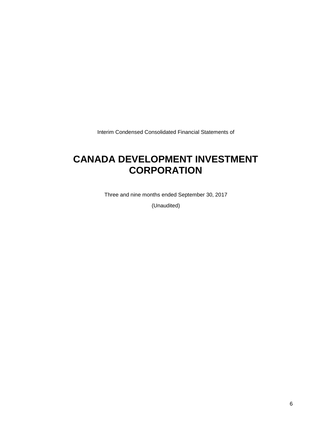Interim Condensed Consolidated Financial Statements of

## **CANADA DEVELOPMENT INVESTMENT CORPORATION**

Three and nine months ended September 30, 2017

(Unaudited)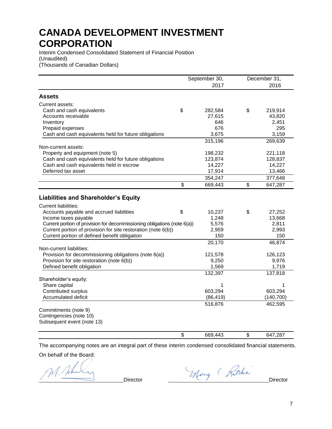Interim Condensed Consolidated Statement of Financial Position (Unaudited) (Thousands of Canadian Dollars)

|                                                                                                                                                | September 30,         | December 31,           |
|------------------------------------------------------------------------------------------------------------------------------------------------|-----------------------|------------------------|
|                                                                                                                                                | 2017                  | 2016                   |
| <b>Assets</b>                                                                                                                                  |                       |                        |
| Current assets:                                                                                                                                |                       |                        |
| Cash and cash equivalents                                                                                                                      | \$<br>282,584         | \$<br>219,914          |
| Accounts receivable                                                                                                                            | 27,615                | 43,820                 |
| Inventory                                                                                                                                      | 646                   | 2,451                  |
| Prepaid expenses                                                                                                                               | 676                   | 295                    |
| Cash and cash equivalents held for future obligations                                                                                          | 3,675                 | 3,159                  |
|                                                                                                                                                | 315,196               | 269,639                |
| Non-current assets:                                                                                                                            |                       |                        |
| Property and equipment (note 5)                                                                                                                | 198,232               | 221,118                |
| Cash and cash equivalents held for future obligations                                                                                          | 123,874               | 128,837                |
| Cash and cash equivalents held in escrow                                                                                                       | 14,227                | 14,227                 |
| Deferred tax asset                                                                                                                             | 17,914                | 13,466                 |
|                                                                                                                                                | 354,247               | 377,648                |
|                                                                                                                                                | \$<br>669,443         | \$<br>647,287          |
| <b>Liabilities and Shareholder's Equity</b><br><b>Current liabilities:</b><br>Accounts payable and accrued liabilities<br>Income taxes payable | \$<br>10,237<br>1,248 | \$<br>27,252<br>13,668 |
| Current portion of provision for decommissioning obligations (note 6(a))                                                                       | 5,576                 | 2,811                  |
| Current portion of provision for site restoration (note 6(b))                                                                                  | 2,959                 | 2,993                  |
| Current portion of defined benefit obligation                                                                                                  | 150                   | 150                    |
|                                                                                                                                                | 20,170                | 46,874                 |
| Non-current liabilities:                                                                                                                       |                       |                        |
| Provision for decommissioning obligations (note 6(a))                                                                                          | 121,578               | 126,123                |
| Provision for site restoration (note 6(b))                                                                                                     | 9,250                 | 9,976                  |
| Defined benefit obligation                                                                                                                     | 1,569                 | 1,719                  |
|                                                                                                                                                | 132,397               | 137,818                |
| Shareholder's equity:                                                                                                                          |                       |                        |
| Share capital                                                                                                                                  | 1                     | 1                      |
| Contributed surplus                                                                                                                            | 603,294               | 603,294                |
| Accumulated deficit                                                                                                                            | (86, 419)             | (140, 700)             |
|                                                                                                                                                | 516,876               | 462,595                |
| Commitments (note 9)                                                                                                                           |                       |                        |
| Contingencies (note 10)                                                                                                                        |                       |                        |
| Subsequent event (note 13)                                                                                                                     |                       |                        |
|                                                                                                                                                | \$<br>669.443         | \$<br>647,287          |

The accompanying notes are an integral part of these interim condensed consolidated financial statements.

On behalf of the Board:

 $\frac{1}{2}$ 

Director Merry C. Ritche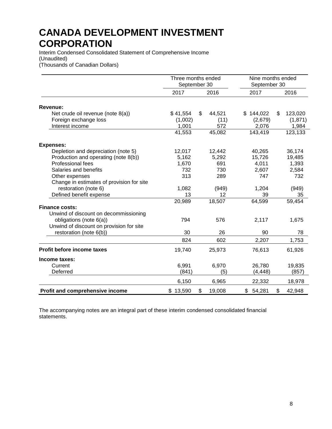Interim Condensed Consolidated Statement of Comprehensive Income (Unaudited) (Thousands of Canadian Dollars)

|                                           | Three months ended<br>September 30 |              | Nine months ended<br>September 30 |    |         |
|-------------------------------------------|------------------------------------|--------------|-----------------------------------|----|---------|
|                                           | 2017                               | 2016         | 2017                              |    | 2016    |
| Revenue:                                  |                                    |              |                                   |    |         |
| Net crude oil revenue (note 8(a))         | \$41,554                           | \$<br>44,521 | \$144,022                         | \$ | 123,020 |
| Foreign exchange loss                     | (1,002)                            | (11)         | (2,679)                           |    | (1,871) |
| Interest income                           | 1,001                              | 572          | 2,076                             |    | 1,984   |
|                                           | 41,553                             | 45,082       | 143,419                           |    | 123,133 |
| <b>Expenses:</b>                          |                                    |              |                                   |    |         |
| Depletion and depreciation (note 5)       | 12,017                             | 12,442       | 40,265                            |    | 36,174  |
| Production and operating (note 8(b))      | 5,162                              | 5,292        | 15,726                            |    | 19,485  |
| Professional fees                         | 1,670                              | 691          | 4,011                             |    | 1,393   |
| Salaries and benefits                     | 732                                | 730          | 2,607                             |    | 2,584   |
| Other expenses                            | 313                                | 289          | 747                               |    | 732     |
| Change in estimates of provision for site |                                    |              |                                   |    |         |
| restoration (note 6)                      | 1,082                              | (949)        | 1,204                             |    | (949)   |
| Defined benefit expense                   | 13                                 | 12           | 39                                |    | 35      |
|                                           | 20,989                             | 18,507       | 64,599                            |    | 59,454  |
| <b>Finance costs:</b>                     |                                    |              |                                   |    |         |
| Unwind of discount on decommissioning     |                                    |              |                                   |    |         |
| obligations (note 6(a))                   | 794                                | 576          | 2,117                             |    | 1,675   |
| Unwind of discount on provision for site  |                                    |              |                                   |    |         |
| restoration (note 6(b))                   | 30                                 | 26           | 90                                |    | 78      |
|                                           | 824                                | 602          | 2,207                             |    | 1,753   |
| <b>Profit before income taxes</b>         | 19,740                             | 25,973       | 76,613                            |    | 61,926  |
| Income taxes:                             |                                    |              |                                   |    |         |
| Current                                   | 6,991                              | 6,970        | 26,780                            |    | 19,835  |
| Deferred                                  | (841)                              | (5)          | (4, 448)                          |    | (857)   |
|                                           | 6,150                              | 6,965        | 22,332                            |    | 18,978  |
| Profit and comprehensive income           | \$13,590                           | \$<br>19,008 | \$<br>54,281                      | \$ | 42,948  |

The accompanying notes are an integral part of these interim condensed consolidated financial statements.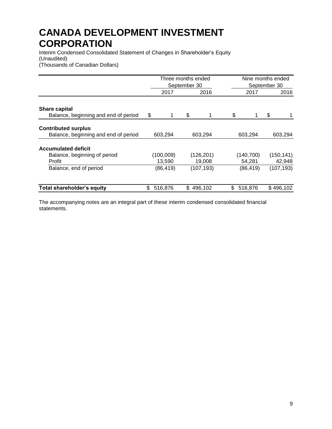Interim Condensed Consolidated Statement of Changes in Shareholder's Equity (Unaudited) (Thousands of Canadian Dollars)

|                                      | Three months ended | September 30 |            |         |            | Nine months ended<br>September 30 |            |  |
|--------------------------------------|--------------------|--------------|------------|---------|------------|-----------------------------------|------------|--|
|                                      | 2017               | 2016         |            |         | 2017       |                                   | 2016       |  |
| Share capital                        |                    |              |            |         |            |                                   |            |  |
| Balance, beginning and end of period | \$<br>1            | \$           | 1          | \$      | 1.         | \$                                |            |  |
| <b>Contributed surplus</b>           |                    |              |            |         |            |                                   |            |  |
| Balance, beginning and end of period | 603,294            | 603,294      |            | 603,294 |            |                                   | 603,294    |  |
| <b>Accumulated deficit</b>           |                    |              |            |         |            |                                   |            |  |
| Balance, beginning of period         | (100,009)          |              | (126, 201) |         | (140, 700) |                                   | (150, 141) |  |
| Profit                               | 13,590             |              | 19,008     |         | 54,281     |                                   | 42,948     |  |
| Balance, end of period               | (86, 419)          |              | (107, 193) |         | (86, 419)  |                                   | (107, 193) |  |
| <b>Total shareholder's equity</b>    | \$<br>516,876      | \$.          | 496,102    | S.      | 516,876    |                                   | \$496,102  |  |

The accompanying notes are an integral part of these interim condensed consolidated financial statements.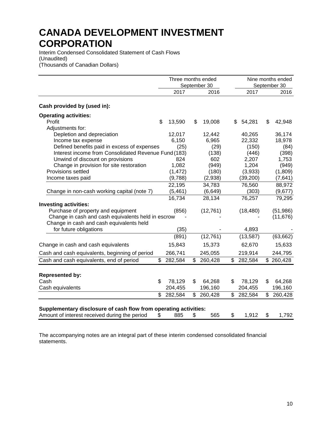Interim Condensed Consolidated Statement of Cash Flows (Unaudited) (Thousands of Canadian Dollars)

|                                                                                                | Three months ended | September 30  |               | Nine months ended<br>September 30 |  |
|------------------------------------------------------------------------------------------------|--------------------|---------------|---------------|-----------------------------------|--|
|                                                                                                | 2017               | 2016          | 2017          | 2016                              |  |
| Cash provided by (used in):                                                                    |                    |               |               |                                   |  |
| <b>Operating activities:</b>                                                                   |                    |               |               |                                   |  |
| Profit                                                                                         | \$<br>13,590       | \$<br>19,008  | \$<br>54,281  | \$<br>42,948                      |  |
| Adjustments for:                                                                               |                    |               |               |                                   |  |
| Depletion and depreciation                                                                     | 12,017             | 12,442        | 40,265        | 36,174                            |  |
| Income tax expense                                                                             | 6,150              | 6,965         | 22,332        | 18,978                            |  |
| Defined benefits paid in excess of expenses                                                    | (25)               | (29)          | (150)         | (84)                              |  |
| Interest income from Consolidated Revenue Fund (183)                                           |                    | (138)         | (446)         | (398)                             |  |
| Unwind of discount on provisions                                                               | 824                | 602           | 2,207         | 1,753                             |  |
| Change in provision for site restoration                                                       | 1,082              | (949)         | 1,204         | (949)                             |  |
| Provisions settled                                                                             | (1, 472)           | (180)         | (3,933)       | (1,809)                           |  |
| Income taxes paid                                                                              | (9,788)            | (2,938)       | (39, 200)     | (7,641)                           |  |
|                                                                                                | 22,195             | 34,783        | 76,560        | 88,972                            |  |
| Change in non-cash working capital (note 7)                                                    | (5, 461)           | (6, 649)      | (303)         | (9,677)                           |  |
|                                                                                                | 16,734             | 28,134        | 76,257        | 79,295                            |  |
| <b>Investing activities:</b>                                                                   |                    |               |               |                                   |  |
| Purchase of property and equipment                                                             | (856)              | (12, 761)     | (18, 480)     | (51, 986)                         |  |
| Change in cash and cash equivalents held in escrow<br>Change in cash and cash equivalents held |                    |               |               | (11, 676)                         |  |
| for future obligations                                                                         | (35)               |               | 4,893         |                                   |  |
|                                                                                                | (891)              | (12, 761)     | (13, 587)     | (63, 662)                         |  |
| Change in cash and cash equivalents                                                            | 15,843             | 15,373        | 62,670        | 15,633                            |  |
| Cash and cash equivalents, beginning of period                                                 | 266,741            | 245,055       | 219,914       | 244,795                           |  |
| Cash and cash equivalents, end of period                                                       | \$<br>282,584      | \$<br>260,428 | \$<br>282,584 | \$260,428                         |  |
|                                                                                                |                    |               |               |                                   |  |
| <b>Represented by:</b>                                                                         |                    |               |               |                                   |  |
| Cash                                                                                           | \$<br>78,129       | \$<br>64,268  | \$<br>78,129  | \$<br>64,268                      |  |
| Cash equivalents                                                                               | 204,455            | 196,160       | 204,455       | 196,160                           |  |
|                                                                                                | \$<br>282,584      | \$<br>260,428 | \$<br>282,584 | \$<br>260,428                     |  |
| Supplementary disclosure of cash flow from operating activities:                               |                    |               |               |                                   |  |
| Amount of interest received during the period                                                  | \$<br>885          | \$<br>565     | \$<br>1,912   | \$<br>1,792                       |  |

The accompanying notes are an integral part of these interim condensed consolidated financial statements.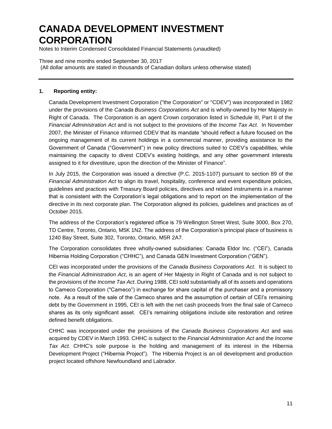Notes to Interim Condensed Consolidated Financial Statements (unaudited)

Three and nine months ended September 30, 2017 (All dollar amounts are stated in thousands of Canadian dollars unless otherwise stated)

### **1. Reporting entity:**

Canada Development Investment Corporation ("the Corporation" or "CDEV") was incorporated in 1982 under the provisions of the *Canada Business Corporations Act* and is wholly-owned by Her Majesty in Right of Canada. The Corporation is an agent Crown corporation listed in Schedule III, Part II of the *Financial Administration Act* and is not subject to the provisions of the *Income Tax Act*. In November 2007, the Minister of Finance informed CDEV that its mandate "should reflect a future focused on the ongoing management of its current holdings in a commercial manner, providing assistance to the Government of Canada ("Government") in new policy directions suited to CDEV's capabilities, while maintaining the capacity to divest CDEV's existing holdings, and any other government interests assigned to it for divestiture, upon the direction of the Minister of Finance".

In July 2015, the Corporation was issued a directive (P.C. 2015-1107) pursuant to section 89 of the *Financial Administration Act* to align its travel, hospitality, conference and event expenditure policies, guidelines and practices with Treasury Board policies, directives and related instruments in a manner that is consistent with the Corporation's legal obligations and to report on the implementation of the directive in its next corporate plan. The Corporation aligned its policies, guidelines and practices as of October 2015.

The address of the Corporation's registered office is 79 Wellington Street West, Suite 3000, Box 270, TD Centre, Toronto, Ontario, M5K 1N2. The address of the Corporation's principal place of business is 1240 Bay Street, Suite 302, Toronto, Ontario, M5R 2A7.

The Corporation consolidates three wholly-owned subsidiaries: Canada Eldor Inc. ("CEI"), Canada Hibernia Holding Corporation ("CHHC"), and Canada GEN Investment Corporation ("GEN").

CEI was incorporated under the provisions of the *Canada Business Corporations Act*. It is subject to the *Financial Administration Act*, is an agent of Her Majesty in Right of Canada and is not subject to the provisions of *the Income Tax Act*. During 1988, CEI sold substantially all of its assets and operations to Cameco Corporation ("Cameco") in exchange for share capital of the purchaser and a promissory note. As a result of the sale of the Cameco shares and the assumption of certain of CEI's remaining debt by the Government in 1995, CEI is left with the net cash proceeds from the final sale of Cameco shares as its only significant asset. CEI's remaining obligations include site restoration and retiree defined benefit obligations.

CHHC was incorporated under the provisions of the *Canada Business Corporations Act* and was acquired by CDEV in March 1993. CHHC is subject to the *Financial Administration Act* and the *Income Tax Act*. CHHC's sole purpose is the holding and management of its interest in the Hibernia Development Project ("Hibernia Project"). The Hibernia Project is an oil development and production project located offshore Newfoundland and Labrador.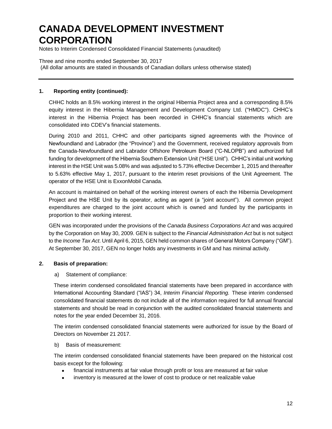Notes to Interim Condensed Consolidated Financial Statements (unaudited)

Three and nine months ended September 30, 2017 (All dollar amounts are stated in thousands of Canadian dollars unless otherwise stated)

## **1. Reporting entity (continued):**

CHHC holds an 8.5% working interest in the original Hibernia Project area and a corresponding 8.5% equity interest in the Hibernia Management and Development Company Ltd. ("HMDC"). CHHC's interest in the Hibernia Project has been recorded in CHHC's financial statements which are consolidated into CDEV's financial statements.

During 2010 and 2011, CHHC and other participants signed agreements with the Province of Newfoundland and Labrador (the "Province") and the Government, received regulatory approvals from the Canada-Newfoundland and Labrador Offshore Petroleum Board ("C-NLOPB") and authorized full funding for development of the Hibernia Southern Extension Unit ("HSE Unit"). CHHC's initial unit working interest in the HSE Unit was 5.08% and was adjusted to 5.73% effective December 1, 2015 and thereafter to 5.63% effective May 1, 2017, pursuant to the interim reset provisions of the Unit Agreement. The operator of the HSE Unit is ExxonMobil Canada.

An account is maintained on behalf of the working interest owners of each the Hibernia Development Project and the HSE Unit by its operator, acting as agent (a "joint account"). All common project expenditures are charged to the joint account which is owned and funded by the participants in proportion to their working interest.

GEN was incorporated under the provisions of the *Canada Business Corporations Act* and was acquired by the Corporation on May 30, 2009. GEN is subject to the *Financial Administration Act* but is not subject to the *Income Tax Act*. Until April 6, 2015, GEN held common shares of General Motors Company ("GM"). At September 30, 2017, GEN no longer holds any investments in GM and has minimal activity.

## **2. Basis of preparation:**

## a) Statement of compliance:

These interim condensed consolidated financial statements have been prepared in accordance with International Accounting Standard ("IAS") 34, *Interim Financial Reporting.* These interim condensed consolidated financial statements do not include all of the information required for full annual financial statements and should be read in conjunction with the audited consolidated financial statements and notes for the year ended December 31, 2016.

The interim condensed consolidated financial statements were authorized for issue by the Board of Directors on November 21 2017.

#### b) Basis of measurement:

The interim condensed consolidated financial statements have been prepared on the historical cost basis except for the following:

- financial instruments at fair value through profit or loss are measured at fair value
- inventory is measured at the lower of cost to produce or net realizable value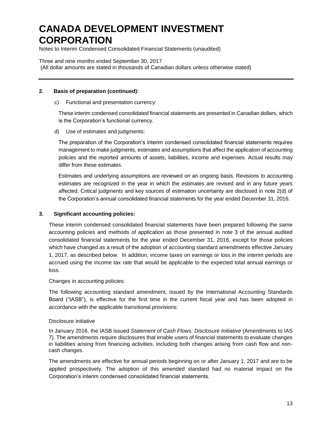Notes to Interim Condensed Consolidated Financial Statements (unaudited)

Three and nine months ended September 30, 2017 (All dollar amounts are stated in thousands of Canadian dollars unless otherwise stated)

#### **2. Basis of preparation (continued):**

#### c) Functional and presentation currency:

These interim condensed consolidated financial statements are presented in Canadian dollars, which is the Corporation's functional currency.

#### d) Use of estimates and judgments:

The preparation of the Corporation's interim condensed consolidated financial statements requires management to make judgments, estimates and assumptions that affect the application of accounting policies and the reported amounts of assets, liabilities, income and expenses. Actual results may differ from these estimates.

Estimates and underlying assumptions are reviewed on an ongoing basis. Revisions to accounting estimates are recognized in the year in which the estimates are revised and in any future years affected. Critical judgments and key sources of estimation uncertainty are disclosed in note 2(d) of the Corporation's annual consolidated financial statements for the year ended December 31, 2016.

#### **3. Significant accounting policies:**

These interim condensed consolidated financial statements have been prepared following the same accounting policies and methods of application as those presented in note 3 of the annual audited consolidated financial statements for the year ended December 31, 2016, except for those policies which have changed as a result of the adoption of accounting standard amendments effective January 1, 2017, as described below. In addition, income taxes on earnings or loss in the interim periods are accrued using the income tax rate that would be applicable to the expected total annual earnings or loss.

#### Changes in accounting policies:

The following accounting standard amendment, issued by the International Accounting Standards Board ("IASB"), is effective for the first time in the current fiscal year and has been adopted in accordance with the applicable transitional provisions:

#### Disclosure initiative

In January 2016, the IASB issued *Statement of Cash Flows: Disclosure Initiative* (Amendments to IAS 7). The amendments require disclosures that enable users of financial statements to evaluate changes in liabilities arising from financing activities, including both changes arising from cash flow and noncash changes.

The amendments are effective for annual periods beginning on or after January 1, 2017 and are to be applied prospectively. The adoption of this amended standard had no material impact on the Corporation's interim condensed consolidated financial statements.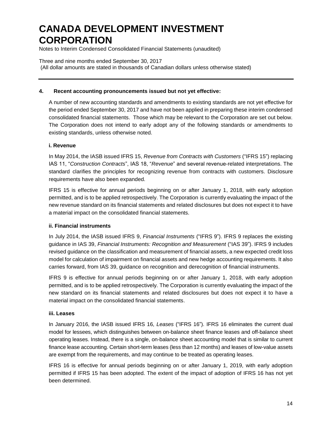Notes to Interim Condensed Consolidated Financial Statements (unaudited)

Three and nine months ended September 30, 2017 (All dollar amounts are stated in thousands of Canadian dollars unless otherwise stated)

### **4. Recent accounting pronouncements issued but not yet effective:**

A number of new accounting standards and amendments to existing standards are not yet effective for the period ended September 30, 2017 and have not been applied in preparing these interim condensed consolidated financial statements. Those which may be relevant to the Corporation are set out below. The Corporation does not intend to early adopt any of the following standards or amendments to existing standards, unless otherwise noted.

#### **i. Revenue**

In May 2014, the IASB issued IFRS 15, *Revenue from Contracts with Customers* ("IFRS 15") replacing IAS 11, "*Construction Contracts*", IAS 18, "*Revenue*" and several revenue-related interpretations. The standard clarifies the principles for recognizing revenue from contracts with customers. Disclosure requirements have also been expanded.

IFRS 15 is effective for annual periods beginning on or after January 1, 2018, with early adoption permitted, and is to be applied retrospectively. The Corporation is currently evaluating the impact of the new revenue standard on its financial statements and related disclosures but does not expect it to have a material impact on the consolidated financial statements.

#### **ii. Financial instruments**

In July 2014, the IASB issued IFRS 9, *Financial Instruments* ("IFRS 9"). IFRS 9 replaces the existing guidance in IAS 39, *Financial Instruments: Recognition and Measurement* ("IAS 39"). IFRS 9 includes revised guidance on the classification and measurement of financial assets, a new expected credit loss model for calculation of impairment on financial assets and new hedge accounting requirements. It also carries forward, from IAS 39, guidance on recognition and derecognition of financial instruments.

IFRS 9 is effective for annual periods beginning on or after January 1, 2018, with early adoption permitted, and is to be applied retrospectively. The Corporation is currently evaluating the impact of the new standard on its financial statements and related disclosures but does not expect it to have a material impact on the consolidated financial statements.

#### **iii. Leases**

In January 2016, the IASB issued IFRS 16, *Leases* ("IFRS 16"). IFRS 16 eliminates the current dual model for lessees, which distinguishes between on-balance sheet finance leases and off-balance sheet operating leases. Instead, there is a single, on-balance sheet accounting model that is similar to current finance lease accounting. Certain short-term leases (less than 12 months) and leases of low-value assets are exempt from the requirements, and may continue to be treated as operating leases.

IFRS 16 is effective for annual periods beginning on or after January 1, 2019, with early adoption permitted if IFRS 15 has been adopted. The extent of the impact of adoption of IFRS 16 has not yet been determined.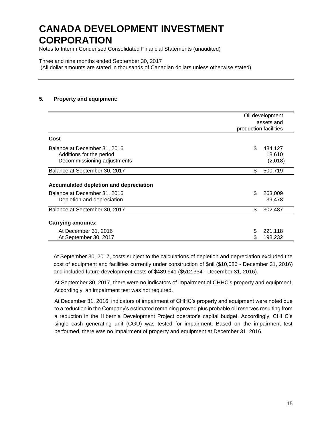Notes to Interim Condensed Consolidated Financial Statements (unaudited)

Three and nine months ended September 30, 2017 (All dollar amounts are stated in thousands of Canadian dollars unless otherwise stated)

## **5. Property and equipment:**

|                                                                                         | Oil development<br>assets and<br>production facilities |
|-----------------------------------------------------------------------------------------|--------------------------------------------------------|
| Cost                                                                                    |                                                        |
| Balance at December 31, 2016<br>Additions for the period<br>Decommissioning adjustments | \$<br>484,127<br>18,610<br>(2,018)                     |
| Balance at September 30, 2017                                                           | \$<br>500,719                                          |
| Accumulated depletion and depreciation<br>Balance at December 31, 2016                  | \$<br>263,009                                          |
| Depletion and depreciation                                                              | 39,478                                                 |
| Balance at September 30, 2017                                                           | \$<br>302,487                                          |
| <b>Carrying amounts:</b>                                                                |                                                        |
| At December 31, 2016<br>At September 30, 2017                                           | \$<br>221,118<br>198,232                               |

At September 30, 2017, costs subject to the calculations of depletion and depreciation excluded the cost of equipment and facilities currently under construction of \$nil (\$10,086 - December 31, 2016) and included future development costs of \$489,941 (\$512,334 - December 31, 2016).

At September 30, 2017, there were no indicators of impairment of CHHC's property and equipment. Accordingly, an impairment test was not required.

At December 31, 2016, indicators of impairment of CHHC's property and equipment were noted due to a reduction in the Company's estimated remaining proved plus probable oil reserves resulting from a reduction in the Hibernia Development Project operator's capital budget. Accordingly, CHHC's single cash generating unit (CGU) was tested for impairment. Based on the impairment test performed, there was no impairment of property and equipment at December 31, 2016.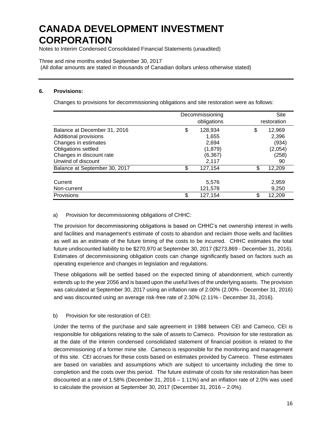Notes to Interim Condensed Consolidated Financial Statements (unaudited)

### Three and nine months ended September 30, 2017

(All dollar amounts are stated in thousands of Canadian dollars unless otherwise stated)

### **6. Provisions:**

Changes to provisions for decommissioning obligations and site restoration were as follows:

|                                                                                                                                                        |    | Decommissioning<br>obligations                             | Site<br>restoration                                      |
|--------------------------------------------------------------------------------------------------------------------------------------------------------|----|------------------------------------------------------------|----------------------------------------------------------|
| Balance at December 31, 2016<br>Additional provisions<br>Changes in estimates<br>Obligations settled<br>Changes in discount rate<br>Unwind of discount | \$ | 128,934<br>1,655<br>2.694<br>(1, 879)<br>(6, 367)<br>2,117 | \$<br>12,969<br>2,396<br>(934)<br>(2,054)<br>(258)<br>90 |
| Balance at September 30, 2017                                                                                                                          | S  | 127,154                                                    | \$<br>12,209                                             |
| Current<br>Non-current<br>Provisions                                                                                                                   | \$ | 5,576<br>121,578<br>127,154                                | \$<br>2,959<br>9,250<br>12,209                           |

## a) Provision for decommissioning obligations of CHHC:

The provision for decommissioning obligations is based on CHHC's net ownership interest in wells and facilities and management's estimate of costs to abandon and reclaim those wells and facilities as well as an estimate of the future timing of the costs to be incurred. CHHC estimates the total future undiscounted liability to be \$270,970 at September 30, 2017 (\$273,869 - December 31, 2016). Estimates of decommissioning obligation costs can change significantly based on factors such as operating experience and changes in legislation and regulations.

These obligations will be settled based on the expected timing of abandonment, which currently extends up to the year 2056 and is based upon the useful lives of the underlying assets. The provision was calculated at September 30, 2017 using an inflation rate of 2.00% (2.00% - December 31, 2016) and was discounted using an average risk-free rate of 2.30% (2.11% - December 31, 2016).

## b) Provision for site restoration of CEI:

Under the terms of the purchase and sale agreement in 1988 between CEI and Cameco, CEI is responsible for obligations relating to the sale of assets to Cameco. Provision for site restoration as at the date of the interim condensed consolidated statement of financial position is related to the decommissioning of a former mine site. Cameco is responsible for the monitoring and management of this site. CEI accrues for these costs based on estimates provided by Cameco. These estimates are based on variables and assumptions which are subject to uncertainty including the time to completion and the costs over this period. The future estimate of costs for site restoration has been discounted at a rate of 1.58% (December 31, 2016 – 1.11%) and an inflation rate of 2.0% was used to calculate the provision at September 30, 2017 (December 31, 2016 – 2.0%).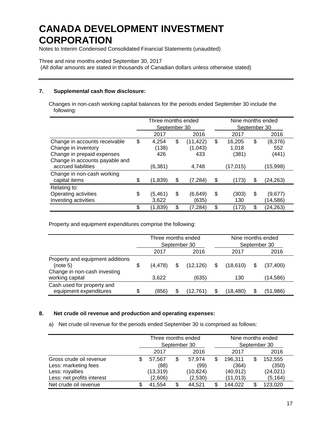Notes to Interim Condensed Consolidated Financial Statements (unaudited)

Three and nine months ended September 30, 2017

(All dollar amounts are stated in thousands of Canadian dollars unless otherwise stated)

## **7. Supplemental cash flow disclosure:**

Changes in non-cash working capital balances for the periods ended September 30 include the following:

|                                                                                                                                             |    | Three months ended<br>September 30 |    |                                      | Nine months ended<br>September 30           |    |                                     |  |  |
|---------------------------------------------------------------------------------------------------------------------------------------------|----|------------------------------------|----|--------------------------------------|---------------------------------------------|----|-------------------------------------|--|--|
|                                                                                                                                             |    | 2017<br>2016                       |    |                                      | 2017                                        |    | 2016                                |  |  |
| Change in accounts receivable<br>Change in inventory<br>Change in prepaid expenses<br>Change in accounts payable and<br>accrued liabilities | \$ | 4,254<br>(138)<br>426<br>(6, 381)  | \$ | (11, 422)<br>(1,043)<br>433<br>4,748 | \$<br>16,205<br>1.018<br>(381)<br>(17, 015) | \$ | (8,376)<br>552<br>(441)<br>(15,998) |  |  |
| Change in non-cash working<br>capital items                                                                                                 | \$ | (1,839)                            | \$ | (7, 284)                             | \$<br>(173)                                 | S  | (24,263)                            |  |  |
| Relating to:<br>Operating activities<br>Investing activities                                                                                | S  | (5, 461)<br>3,622                  | \$ | (6,649)<br>(635)                     | \$<br>(303)<br>130                          | \$ | (9,677)<br>(14,586)                 |  |  |
|                                                                                                                                             | \$ | (1,839)                            | \$ | (7,284)                              | \$<br>(173)                                 | \$ | (24,263)                            |  |  |

Property and equipment expenditures comprise the following:

|                                                                              |   | Three months ended |   | September 30 |   | Nine months ended<br>September 30 |           |
|------------------------------------------------------------------------------|---|--------------------|---|--------------|---|-----------------------------------|-----------|
|                                                                              |   | 2017               |   | 2016         |   | 2017                              | 2016      |
| Property and equipment additions<br>(note 5)<br>Change in non-cash investing | S | (4,478)            | S | (12.126)     | S | (18.610)                          | (37, 400) |
| working capital                                                              |   | 3.622              |   | (635)        |   | 130                               | (14,586)  |
| Cash used for property and<br>equipment expenditures                         | S | (856)              |   | 12.761       |   | (18.480)                          | (51,986)  |

#### **8. Net crude oil revenue and production and operating expenses:**

a) Net crude oil revenue for the periods ended September 30 is comprised as follows:

|                            |              | Three months ended |  |          |   | Nine months ended |      |           |  |
|----------------------------|--------------|--------------------|--|----------|---|-------------------|------|-----------|--|
|                            |              | September 30       |  |          |   | September 30      |      |           |  |
|                            | 2016<br>2017 |                    |  |          |   | 2017              | 2016 |           |  |
| Gross crude oil revenue    | \$           | 57.567             |  | 57.974   | S | 196.311           |      | 152,555   |  |
| Less: marketing fees       |              | (88)               |  | (99)     |   | (364)             |      | (350)     |  |
| Less: royalties            |              | (13, 319)          |  | (10,824) |   | (40,912)          |      | (24, 021) |  |
| Less: net profits interest |              | (2,606)            |  | (2,530)  |   | (11, 013)         |      | (5, 164)  |  |
| Net crude oil revenue      | S            | 41.554             |  | 44.521   |   | 144,022           |      | 123,020   |  |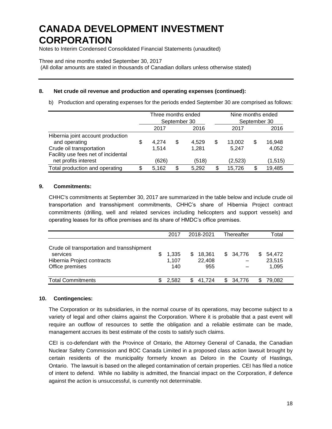Notes to Interim Condensed Consolidated Financial Statements (unaudited)

Three and nine months ended September 30, 2017

(All dollar amounts are stated in thousands of Canadian dollars unless otherwise stated)

## **8. Net crude oil revenue and production and operating expenses (continued):**

b) Production and operating expenses for the periods ended September 30 are comprised as follows:

|                                                                                                                       | Three months ended<br>September 30 |                |   |                |   | Nine months ended | September 30 |                 |
|-----------------------------------------------------------------------------------------------------------------------|------------------------------------|----------------|---|----------------|---|-------------------|--------------|-----------------|
|                                                                                                                       |                                    | 2017           |   | 2016           |   | 2017              |              | 2016            |
| Hibernia joint account production<br>and operating<br>Crude oil transportation<br>Facility use fees net of incidental | \$                                 | 4.274<br>1,514 | S | 4.529<br>1,281 | S | 13.002<br>5,247   | S            | 16.948<br>4,052 |
| net profits interest                                                                                                  |                                    | (626)          |   | (518)          |   | (2,523)           |              | (1, 515)        |
| Total production and operating                                                                                        | \$                                 | 5.162          | S | 5.292          |   | 15,726            |              | 19,485          |

## **9. Commitments:**

CHHC's commitments at September 30, 2017 are summarized in the table below and include crude oil transportation and transshipment commitments, CHHC's share of Hibernia Project contract commitments (drilling, well and related services including helicopters and support vessels) and operating leases for its office premises and its share of HMDC's office premises.

|                                                                                                         |     | 2017                  |    | 2018-2021               |    | Thereafter |   | Total                     |
|---------------------------------------------------------------------------------------------------------|-----|-----------------------|----|-------------------------|----|------------|---|---------------------------|
| Crude oil transportation and transshipment<br>services<br>Hibernia Project contracts<br>Office premises | S   | 1,335<br>1.107<br>140 | S. | 18,361<br>22,408<br>955 | S. | 34,776     | S | 54,472<br>23,515<br>1,095 |
| <b>Total Commitments</b>                                                                                | \$. | 2.582                 |    | 41.724                  | £. | 34.776     |   | 79.082                    |

## **10. Contingencies:**

The Corporation or its subsidiaries, in the normal course of its operations, may become subject to a variety of legal and other claims against the Corporation. Where it is probable that a past event will require an outflow of resources to settle the obligation and a reliable estimate can be made, management accrues its best estimate of the costs to satisfy such claims.

CEI is co-defendant with the Province of Ontario, the Attorney General of Canada, the Canadian Nuclear Safety Commission and BOC Canada Limited in a proposed class action lawsuit brought by certain residents of the municipality formerly known as Deloro in the County of Hastings, Ontario. The lawsuit is based on the alleged contamination of certain properties. CEI has filed a notice of intent to defend. While no liability is admitted, the financial impact on the Corporation, if defence against the action is unsuccessful, is currently not determinable.